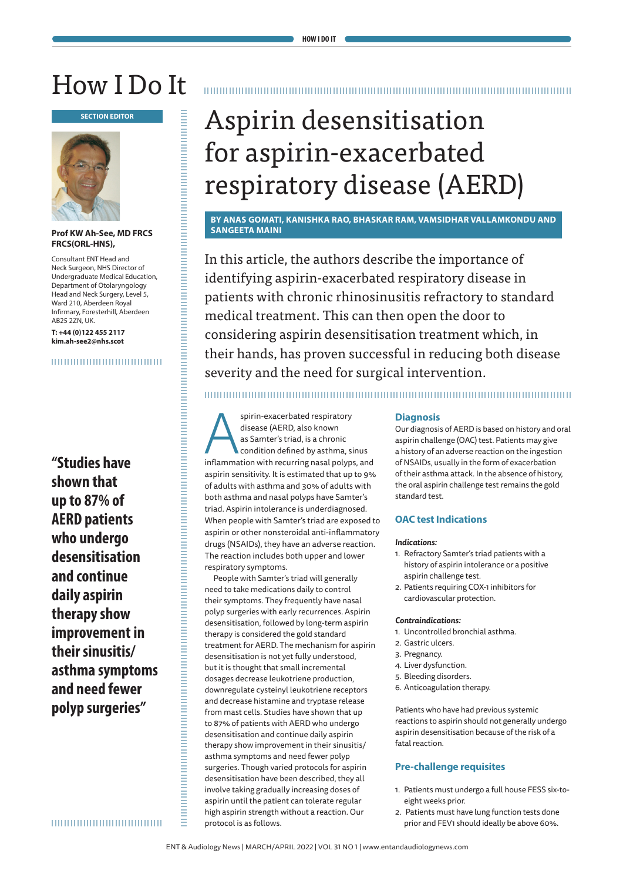## How I Do It



#### **Prof KW Ah-See, MD FRCS FRCS(ORL-HNS),**

Consultant ENT Head and Neck Surgeon, NHS Director of Undergraduate Medical Education, Department of Otolaryngology Head and Neck Surgery, Level 5, Ward 210, Aberdeen Royal Infirmary, Foresterhill, Aberdeen AB25 2ZN, UK.

**T: +44 (0)122 455 2117 kim.ah-see2@nhs.scot**

#### 

**"Studies have shown that up to 87% of AERD patients who undergo desensitisation and continue daily aspirin therapy show improvement in their sinusitis/ asthma symptoms and need fewer polyp surgeries"**

# for aspirin-exacerbated respiratory disease (AERD)

**BY ANAS GOMATI, KANISHKA RAO, BHASKAR RAM, VAMSIDHAR VALLAMKONDU AND SANGEETA MAINI** 

In this article, the authors describe the importance of identifying aspirin-exacerbated respiratory disease in patients with chronic rhinosinusitis refractory to standard medical treatment. This can then open the door to considering aspirin desensitisation treatment which, in their hands, has proven successful in reducing both disease severity and the need for surgical intervention.

spirin-exacerbated respiratory<br>disease (AERD, also known<br>as Samter's triad, is a chronic<br>condition defined by asthma, sinus<br>inflammation with recurring nasal polyps, and disease (AERD, also known as Samter's triad, is a chronic condition defined by asthma, sinus aspirin sensitivity. It is estimated that up to 9% of adults with asthma and 30% of adults with both asthma and nasal polyps have Samter's triad. Aspirin intolerance is underdiagnosed. When people with Samter's triad are exposed to aspirin or other nonsteroidal anti-inflammatory drugs (NSAIDs), they have an adverse reaction. The reaction includes both upper and lower respiratory symptoms.

**EXERCT THE SECTION ASSEMTMENT (SECTION ASSEMTMENT (SECTION ASSEMTMENT ASSEMTMENT ASSEMTMENT ASSEMTMENT AND THE SECTION AND SECTION ARE CONSULTED AND CONSULTED ASSEMBANCE CONSULTED AND CONSULTED ASSEMBATION CONSULTED AND** People with Samter's triad will generally need to take medications daily to control their symptoms. They frequently have nasal polyp surgeries with early recurrences. Aspirin desensitisation, followed by long-term aspirin therapy is considered the gold standard treatment for AERD. The mechanism for aspirin desensitisation is not yet fully understood, but it is thought that small incremental dosages decrease leukotriene production, downregulate cysteinyl leukotriene receptors and decrease histamine and tryptase release from mast cells. Studies have shown that up to 87% of patients with AERD who undergo desensitisation and continue daily aspirin therapy show improvement in their sinusitis/ asthma symptoms and need fewer polyp surgeries. Though varied protocols for aspirin desensitisation have been described, they all involve taking gradually increasing doses of aspirin until the patient can tolerate regular high aspirin strength without a reaction. Our protocol is as follows.

#### **Diagnosis**

Our diagnosis of AERD is based on history and oral aspirin challenge (OAC) test. Patients may give a history of an adverse reaction on the ingestion of NSAIDs, usually in the form of exacerbation of their asthma attack. In the absence of history, the oral aspirin challenge test remains the gold standard test.

#### **OAC test Indications**

#### *Indications:*

- 1. Refractory Samter's triad patients with a history of aspirin intolerance or a positive aspirin challenge test.
- 2. Patients requiring COX-1 inhibitors for cardiovascular protection.

#### *Contraindications:*

- 1. Uncontrolled bronchial asthma.
- 2. Gastric ulcers.
- 3. Pregnancy.
- 4. Liver dysfunction.
- 5. Bleeding disorders.
- 6. Anticoagulation therapy.

Patients who have had previous systemic reactions to aspirin should not generally undergo aspirin desensitisation because of the risk of a fatal reaction.

#### **Pre-challenge requisites**

- 1. Patients must undergo a full house FESS six-toeight weeks prior.
- 2. Patients must have lung function tests done prior and FEV1 should ideally be above 60%.